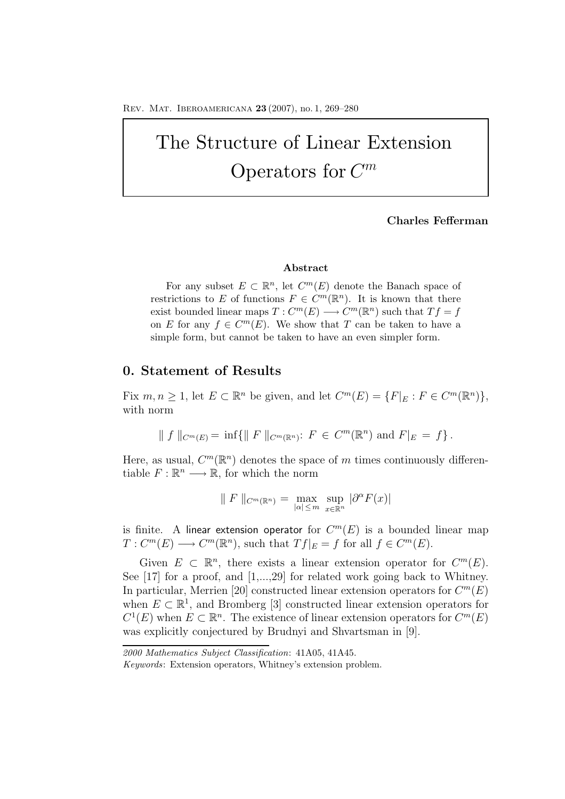# The Structure of Linear Extension Operators for  $C^m$

### **Charles Fefferman**

### **Abstract**

For any subset  $E \subset \mathbb{R}^n$ , let  $C^m(E)$  denote the Banach space of restrictions to *E* of functions  $F \in C^m(\mathbb{R}^n)$ . It is known that there exist bounded linear maps  $T: C^m(E) \longrightarrow C^m(\mathbb{R}^n)$  such that  $Tf = f$ on *E* for any  $f \in C^m(E)$ . We show that *T* can be taken to have a simple form, but cannot be taken to have an even simpler form.

## **0. Statement of Results**

Fix  $m, n \geq 1$ , let  $E \subset \mathbb{R}^n$  be given, and let  $C^m(E) = \{F|_E : F \in C^m(\mathbb{R}^n)\},$ with norm

$$
|| f ||_{C^m(E)} = inf{|| F ||_{C^m(\mathbb{R}^n)} : F \in C^m(\mathbb{R}^n) \text{ and } F|_E = f}.
$$

Here, as usual,  $C^m(\mathbb{R}^n)$  denotes the space of m times continuously differentiable  $F: \mathbb{R}^n \longrightarrow \mathbb{R}$ , for which the norm

$$
\| F \|_{C^m(\mathbb{R}^n)} = \max_{|\alpha| \le m} \sup_{x \in \mathbb{R}^n} |\partial^{\alpha} F(x)|
$$

is finite. A linear extension operator for  $C^m(E)$  is a bounded linear map  $T: C^m(E) \longrightarrow C^m(\mathbb{R}^n)$ , such that  $Tf|_E = f$  for all  $f \in C^m(E)$ .

Given  $E \subset \mathbb{R}^n$ , there exists a linear extension operator for  $C^m(E)$ . See [17] for a proof, and [1,...,29] for related work going back to Whitney. In particular, Merrien [20] constructed linear extension operators for  $C^m(E)$ when  $E \subset \mathbb{R}^1$ , and Bromberg [3] constructed linear extension operators for  $C^1(E)$  when  $E \subset \mathbb{R}^n$ . The existence of linear extension operators for  $C^m(E)$ was explicitly conjectured by Brudnyi and Shvartsman in [9].

*<sup>2000</sup> Mathematics Subject Classification*: 41A05, 41A45.

*Keywords*: Extension operators, Whitney's extension problem.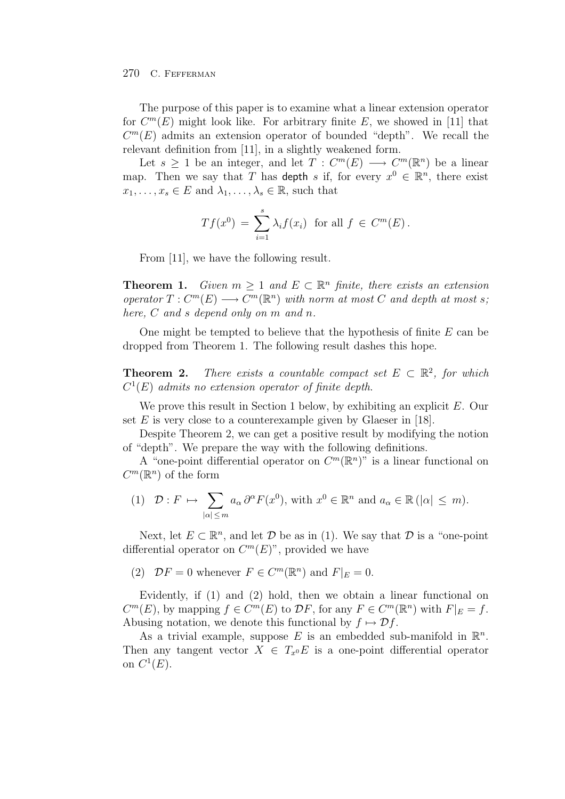#### 270 C. FEFFERMAN

The purpose of this paper is to examine what a linear extension operator for  $C^m(E)$  might look like. For arbitrary finite E, we showed in [11] that  $C<sup>m</sup>(E)$  admits an extension operator of bounded "depth". We recall the relevant definition from [11], in a slightly weakened form.

Let  $s > 1$  be an integer, and let  $T : C<sup>m</sup>(E) \longrightarrow C<sup>m</sup>(\mathbb{R}<sup>n</sup>)$  be a linear map. Then we say that T has depth s if, for every  $x^0 \in \mathbb{R}^n$ , there exist  $x_1,\ldots,x_s \in E$  and  $\lambda_1,\ldots,\lambda_s \in \mathbb{R}$ , such that

$$
Tf(x^0) = \sum_{i=1}^s \lambda_i f(x_i)
$$
 for all  $f \in C^m(E)$ .

From [11], we have the following result.

**Theorem 1.** *Given*  $m > 1$  *and*  $E \subset \mathbb{R}^n$  *finite, there exists an extension operator*  $T: C^m(E) \longrightarrow C^m(\mathbb{R}^n)$  *with norm at most* C *and depth at most s*; *here,* C *and* s *depend only on* m *and* n*.*

One might be tempted to believe that the hypothesis of finite  $E$  can be dropped from Theorem 1. The following result dashes this hope.

**Theorem 2.** *There exists a countable compact set*  $E \subset \mathbb{R}^2$ , for which C<sup>1</sup>(E) *admits no extension operator of finite depth*.

We prove this result in Section 1 below, by exhibiting an explicit E. Our set  $E$  is very close to a counterexample given by Glaeser in [18].

Despite Theorem 2, we can get a positive result by modifying the notion of "depth". We prepare the way with the following definitions.

A "one-point differential operator on  $C^m(\mathbb{R}^n)$ " is a linear functional on  $C^m(\mathbb{R}^n)$  of the form

(1) 
$$
\mathcal{D}: F \mapsto \sum_{|\alpha| \le m} a_{\alpha} \partial^{\alpha} F(x^0)
$$
, with  $x^0 \in \mathbb{R}^n$  and  $a_{\alpha} \in \mathbb{R} (|\alpha| \le m)$ .

Next, let  $E \subset \mathbb{R}^n$ , and let  $\mathcal D$  be as in (1). We say that  $\mathcal D$  is a "one-point" differential operator on  $C^m(E)$ ", provided we have

(2)  $\mathcal{D}F = 0$  whenever  $F \in C^m(\mathbb{R}^n)$  and  $F|_E = 0$ .

Evidently, if (1) and (2) hold, then we obtain a linear functional on  $C^m(E)$ , by mapping  $f \in C^m(E)$  to  $\mathcal{D}F$ , for any  $F \in C^m(\mathbb{R}^n)$  with  $F|_E = f$ . Abusing notation, we denote this functional by  $f \mapsto \mathcal{D}f$ .

As a trivial example, suppose E is an embedded sub-manifold in  $\mathbb{R}^n$ . Then any tangent vector  $X \in T_{x0}E$  is a one-point differential operator on  $C^1(E)$ .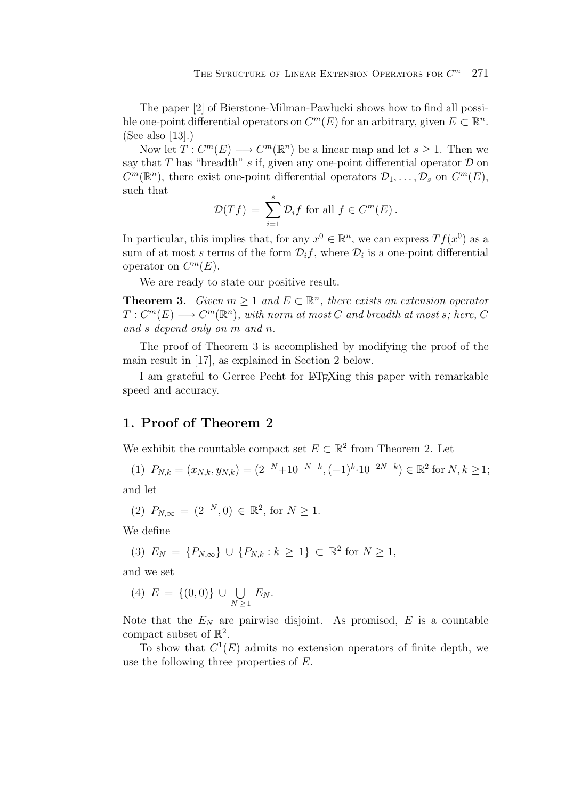The paper [2] of Bierstone-Milman-Pawlucki shows how to find all possible one-point differential operators on  $C^m(E)$  for an arbitrary, given  $E \subset \mathbb{R}^n$ . (See also [13].)

Now let  $T: C^m(E) \longrightarrow C^m(\mathbb{R}^n)$  be a linear map and let  $s > 1$ . Then we say that T has "breadth" s if, given any one-point differential operator  $\mathcal D$  on  $C^m(\mathbb{R}^n)$ , there exist one-point differential operators  $\mathcal{D}_1,\ldots,\mathcal{D}_s$  on  $C^m(E)$ , such that

$$
\mathcal{D}(Tf) = \sum_{i=1}^{s} \mathcal{D}_i f \text{ for all } f \in C^m(E).
$$

In particular, this implies that, for any  $x^0 \in \mathbb{R}^n$ , we can express  $Tf(x^0)$  as a sum of at most s terms of the form  $\mathcal{D}_i f$ , where  $\mathcal{D}_i$  is a one-point differential operator on  $C^m(E)$ .

We are ready to state our positive result.

**Theorem 3.** *Given*  $m \geq 1$  *and*  $E \subset \mathbb{R}^n$ *, there exists an extension operator*  $T: C<sup>m</sup>(E) \longrightarrow C<sup>m</sup>(\mathbb{R}<sup>n</sup>)$ , with norm at most C and breadth at most s; here, C *and* s *depend only on* m *and* n.

The proof of Theorem 3 is accomplished by modifying the proof of the main result in [17], as explained in Section 2 below.

I am grateful to Gerree Pecht for LAT<sub>E</sub>Xing this paper with remarkable speed and accuracy.

## **1. Proof of Theorem 2**

We exhibit the countable compact set  $E \subset \mathbb{R}^2$  from Theorem 2. Let

(1) 
$$
P_{N,k} = (x_{N,k}, y_{N,k}) = (2^{-N} + 10^{-N-k}, (-1)^k \cdot 10^{-2N-k}) \in \mathbb{R}^2
$$
 for  $N, k \ge 1$ ;  
and let

and let

$$
(2) P_{N,\infty} = (2^{-N}, 0) \in \mathbb{R}^2, \text{ for } N \ge 1.
$$

We define

$$
(3) E_N = \{P_{N,\infty}\} \cup \{P_{N,k} : k \ge 1\} \subset \mathbb{R}^2 \text{ for } N \ge 1,
$$

and we set

(4) 
$$
E = \{(0,0)\} \cup \bigcup_{N \geq 1} E_N
$$
.

Note that the  $E<sub>N</sub>$  are pairwise disjoint. As promised, E is a countable compact subset of  $\mathbb{R}^2$ .

To show that  $C^1(E)$  admits no extension operators of finite depth, we use the following three properties of E.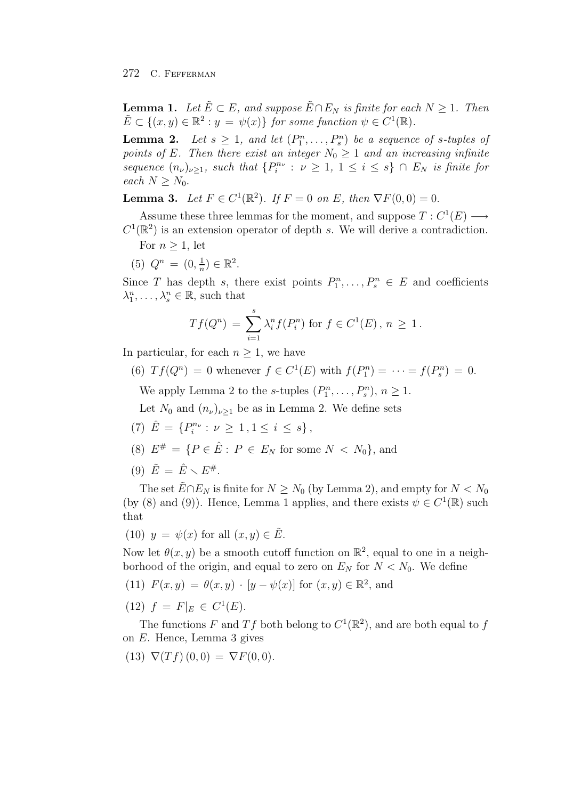**Lemma 1.** *Let*  $\tilde{E} \subset E$ *, and suppose*  $\tilde{E} \cap E_N$  *is finite for each*  $N \geq 1$ *. Then*  $\tilde{E} \subset \{(x, y) \in \mathbb{R}^2 : y = \psi(x)\}\$  *for some function*  $\psi \in C^1(\mathbb{R})$ *.* 

**Lemma 2.** Let  $s \geq 1$ , and let  $(P_1^n, \ldots, P_s^n)$  be a sequence of s-tuples of points of E. Then there exist an integer  $N_s > 1$  and an increasing infinite *points of* E. Then there exist an integer  $N_0 \geq 1$  and an increasing infinite *sequence*  $(n_{\nu})_{\nu \geq 1}$ *, such that*  $\{P_i^{n_{\nu}} : \nu \geq 1, 1 \leq i \leq s\} \cap E_N$  *is finite for* each  $N > N_c$ *each*  $N \geq N_0$ .

**Lemma 3.** *Let*  $F \in C^1(\mathbb{R}^2)$ *. If*  $F = 0$  *on*  $E$ *, then*  $\nabla F(0, 0) = 0$ *.* 

Assume these three lemmas for the moment, and suppose  $T: C^1(E) \longrightarrow$  $C^1(\mathbb{R}^2)$  is an extension operator of depth s. We will derive a contradiction.

- For  $n \geq 1$ , let
- (5)  $Q^n = (0, \frac{1}{n}) \in \mathbb{R}^2$ .

Since T has depth s, there exist points  $P_1^n, \ldots, P_s^n \in E$  and coefficients  $\lambda_1^n, \ldots, \lambda_s^n \in \mathbb{R}$ , such that

$$
Tf(Q^n) = \sum_{i=1}^s \lambda_i^n f(P_i^n)
$$
 for  $f \in C^1(E)$ ,  $n \ge 1$ .

In particular, for each  $n \geq 1$ , we have

(6)  $Tf(Q^n) = 0$  whenever  $f \in C^1(E)$  with  $f(P_1^n) = \cdots = f(P_s^n) = 0$ .

We apply Lemma 2 to the s-tuples  $(P_1^n, \ldots, P_s^n), n \ge 1$ .

Let  $N_0$  and  $(n_\nu)_{\nu>1}$  be as in Lemma 2. We define sets

- (7)  $\hat{E} = \{P_i^{n_{\nu}} : \nu \ge 1, 1 \le i \le s\},\$
- (8)  $E^{\#} = \{ P \in \hat{E} : P \in E_N \text{ for some } N < N_0 \},\$ and
- (9)  $\tilde{E} = \hat{E} \setminus E^{\#}.$

The set  $\tilde{E} \cap E_N$  is finite for  $N \geq N_0$  (by Lemma 2), and empty for  $N < N_0$ (by (8) and (9)). Hence, Lemma 1 applies, and there exists  $\psi \in C^1(\mathbb{R})$  such that

(10)  $y = \psi(x)$  for all  $(x, y) \in \tilde{E}$ .

Now let  $\theta(x, y)$  be a smooth cutoff function on  $\mathbb{R}^2$ , equal to one in a neighborhood of the origin, and equal to zero on  $E<sub>N</sub>$  for  $N < N_0$ . We define

(11) 
$$
F(x, y) = \theta(x, y) \cdot [y - \psi(x)]
$$
 for  $(x, y) \in \mathbb{R}^2$ , and

(12)  $f = F|_E \in C^1(E)$ .

The functions F and Tf both belong to  $C^1(\mathbb{R}^2)$ , and are both equal to f on E. Hence, Lemma 3 gives

(13)  $\nabla(Tf)(0,0) = \nabla F(0,0).$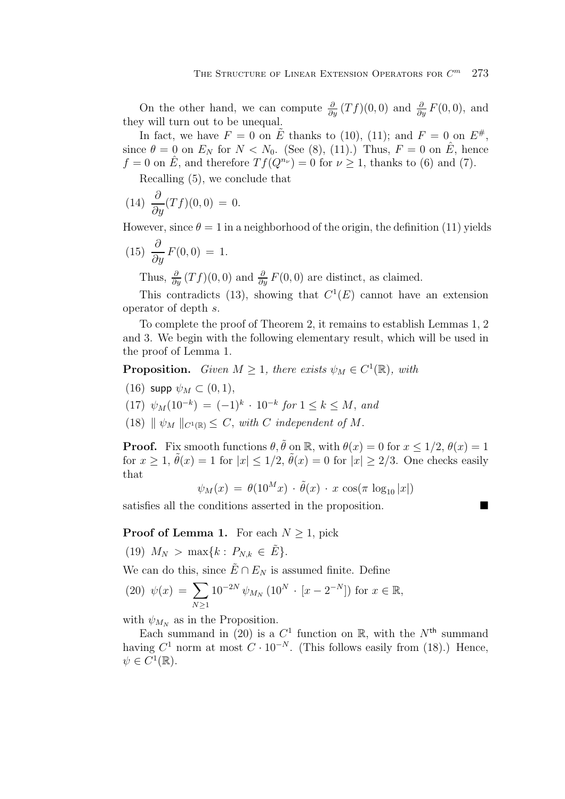On the other hand, we can compute  $\frac{\partial}{\partial y}(Tf)(0,0)$  and  $\frac{\partial}{\partial y}F(0,0)$ , and  $\frac{\partial}{\partial y}F(0,0)$ , and they will turn out to be unequal.

In fact, we have  $F = 0$  on  $\tilde{E}$  thanks to (10), (11); and  $F = 0$  on  $E^{\#}$ , since  $\theta = 0$  on  $E_N$  for  $N < N_0$ . (See (8), (11).) Thus,  $F = 0$  on  $\hat{E}$ , hence  $f = 0$  on  $\hat{E}$ , and therefore  $T f(Q^{n_{\nu}}) = 0$  for  $\nu \geq 1$ , thanks to (6) and (7).

Recalling (5), we conclude that

(14) 
$$
\frac{\partial}{\partial y}(Tf)(0,0) = 0.
$$

However, since  $\theta = 1$  in a neighborhood of the origin, the definition (11) yields

$$
(15) \frac{\partial}{\partial y} F(0,0) = 1.
$$

Thus,  $\frac{\partial}{\partial y}(Tf)(0,0)$  and  $\frac{\partial}{\partial y}F(0,0)$  are distinct, as claimed.

This contradicts (13), showing that  $C^1(E)$  cannot have an extension operator of depth s.

To complete the proof of Theorem 2, it remains to establish Lemmas 1, 2 and 3. We begin with the following elementary result, which will be used in the proof of Lemma 1.

**Proposition.** *Given*  $M \geq 1$ *, there exists*  $\psi_M \in C^1(\mathbb{R})$ *, with* 

- (16) supp  $\psi_M \subset (0,1)$ .
- (17)  $\psi_M(10^{-k}) = (-1)^k \cdot 10^{-k}$  *for*  $1 \leq k \leq M$ , *and*
- (18)  $|| \psi_M ||_{C^1(\mathbb{R})} \leq C$ , with C independent of M.

**Proof.** Fix smooth functions  $\theta$ ,  $\tilde{\theta}$  on R, with  $\theta(x) = 0$  for  $x \leq 1/2$ ,  $\theta(x) = 1$ for  $x \ge 1$ ,  $\tilde{\theta}(x) = 1$  for  $|x| \le 1/2$ ,  $\tilde{\theta}(x) = 0$  for  $|x| \ge 2/3$ . One checks easily that

 $\psi_M(x) = \theta(10^M x) \cdot \tilde{\theta}(x) \cdot x \cos(\pi \log_{10} |x|)$ 

satisfies all the conditions asserted in the proposition.

### **Proof of Lemma 1.** For each  $N \geq 1$ , pick

(19)  $M_N > \max\{k : P_{N,k} \in \tilde{E}\}.$ 

We can do this, since  $\tilde{E} \cap E_N$  is assumed finite. Define

(20) 
$$
\psi(x) = \sum_{N \ge 1} 10^{-2N} \psi_{M_N} (10^N \cdot [x - 2^{-N}])
$$
 for  $x \in \mathbb{R}$ ,

with  $\psi_{M_N}$  as in the Proposition.

Each summand in (20) is a  $C^1$  function on R, with the  $N^{\text{th}}$  summand having  $C^1$  norm at most  $C \cdot 10^{-N}$ . (This follows easily from (18).) Hence,  $\psi \in C^1(\mathbb{R}).$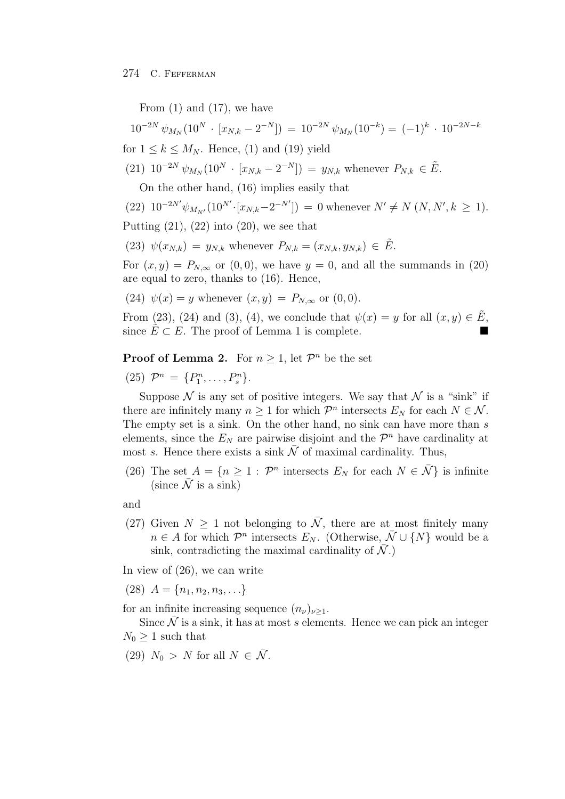From  $(1)$  and  $(17)$ , we have

$$
10^{-2N} \psi_{M_N} (10^N \cdot [x_{N,k} - 2^{-N}]) = 10^{-2N} \psi_{M_N} (10^{-k}) = (-1)^k \cdot 10^{-2N-k}
$$

for  $1 \leq k \leq M_N$ . Hence, (1) and (19) yield

(21) 
$$
10^{-2N} \psi_{M_N} (10^N \cdot [x_{N,k} - 2^{-N}]) = y_{N,k}
$$
 whenever  $P_{N,k} \in \tilde{E}$ .

On the other hand, (16) implies easily that

(22) 
$$
10^{-2N'} \psi_{M_{N'}}(10^{N'} \cdot [x_{N,k} - 2^{-N'}]) = 0
$$
 whenever  $N' \neq N$   $(N, N', k \geq 1)$ .

Putting 
$$
(21)
$$
,  $(22)$  into  $(20)$ , we see that

(23)  $\psi(x_{N,k}) = y_{N,k}$  whenever  $P_{N,k} = (x_{N,k}, y_{N,k}) \in \tilde{E}$ .

For  $(x, y) = P_{N,\infty}$  or  $(0, 0)$ , we have  $y = 0$ , and all the summands in  $(20)$ are equal to zero, thanks to (16). Hence,

(24) 
$$
\psi(x) = y
$$
 whenever  $(x, y) = P_{N, \infty}$  or  $(0, 0)$ .

From (23), (24) and (3), (4), we conclude that  $\psi(x) = y$  for all  $(x, y) \in E$ , since  $\tilde{E} \subset E$ . The proof of Lemma 1 is complete.

**Proof of Lemma 2.** For  $n \geq 1$ , let  $\mathcal{P}^n$  be the set

(25)  $\mathcal{P}^n = \{P_1^n, \ldots, P_s^n\}.$ 

Suppose  $\mathcal N$  is any set of positive integers. We say that  $\mathcal N$  is a "sink" if there are infinitely many  $n \geq 1$  for which  $\mathcal{P}^n$  intersects  $E_N$  for each  $N \in \mathcal{N}$ . The empty set is a sink. On the other hand, no sink can have more than s elements, since the  $E<sub>N</sub>$  are pairwise disjoint and the  $\mathcal{P}<sup>n</sup>$  have cardinality at most s. Hence there exists a sink  $\overline{\mathcal{N}}$  of maximal cardinality. Thus,

(26) The set  $A = \{n \geq 1 : \mathcal{P}^n \text{ intersects } E_N \text{ for each } N \in \overline{\mathcal{N}}\}$  is infinite (since  $\overline{\mathcal{N}}$  is a sink)

and

(27) Given  $N \geq 1$  not belonging to  $\overline{N}$ , there are at most finitely many  $n \in A$  for which  $\mathcal{P}^n$  intersects  $E_N$ . (Otherwise,  $\bar{\mathcal{N}} \cup \{N\}$  would be a sink, contradicting the maximal cardinality of  $\bar{\mathcal{N}}$ .)

In view of (26), we can write

(28)  $A = \{n_1, n_2, n_3, \ldots\}$ 

for an infinite increasing sequence  $(n_{\nu})_{\nu\geq 1}$ .

Since  $\overline{N}$  is a sink, it has at most s elements. Hence we can pick an integer  $N_0 \geq 1$  such that

(29)  $N_0 > N$  for all  $N \in \overline{\mathcal{N}}$ .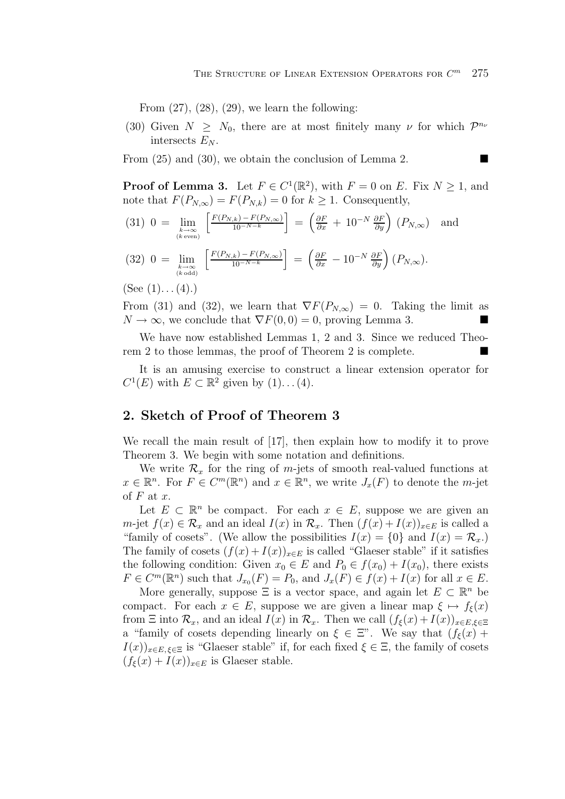From  $(27)$ ,  $(28)$ ,  $(29)$ , we learn the following:

(30) Given  $N \geq N_0$ , there are at most finitely many  $\nu$  for which  $\mathcal{P}^{n_{\nu}}$ intersects  $E_N$ .

From (25) and (30), we obtain the conclusion of Lemma 2.

**Proof of Lemma 3.** Let  $F \in C^1(\mathbb{R}^2)$ , with  $F = 0$  on E. Fix  $N \ge 1$ , and note that  $F(P_{N,\infty}) = F(P_{N,k}) = 0$  for  $k \geq 1$ . Consequently,

- $(31)$  0 =  $\lim_{\substack{k \to \infty \ (k \text{ even})}}$  $\left[ \frac{F(P_{N,k}) - F(P_{N,\infty})}{10^{-N-k}} \right]$  $\left[ \begin{array}{cc} \frac{\partial F}{\partial x} + 10^{-N} \frac{\partial F}{\partial y} \end{array} \right] (P_{N,\infty})$  and
- $(32)$  0 =  $\lim_{\substack{k \to \infty \ (k \text{ odd})}}$  $\left[ \frac{F(P_{N,k}) - F(P_{N,\infty})}{10^{-N-k}} \right]$  $\left[ \right] = \left( \frac{\partial F}{\partial x} - 10^{-N} \frac{\partial F}{\partial y} \right) (P_{N,\infty}).$

 $(See (1) \dots (4).)$ 

From (31) and (32), we learn that  $\nabla F(P_{N,\infty}) = 0$ . Taking the limit as  $N \to \infty$  we conclude that  $\nabla F(0, 0) = 0$  proving Lemma 3  $N \to \infty$ , we conclude that  $\nabla F(0,0) = 0$ , proving Lemma 3.

We have now established Lemmas 1, 2 and 3. Since we reduced Theorem 2 to those lemmas, the proof of Theorem 2 is complete.

It is an amusing exercise to construct a linear extension operator for  $C^1(E)$  with  $E \subset \mathbb{R}^2$  given by  $(1) \dots (4)$ .

## **2. Sketch of Proof of Theorem 3**

We recall the main result of [17], then explain how to modify it to prove Theorem 3. We begin with some notation and definitions.

We write  $\mathcal{R}_x$  for the ring of m-jets of smooth real-valued functions at  $x \in \mathbb{R}^n$ . For  $F \in C^m(\mathbb{R}^n)$  and  $x \in \mathbb{R}^n$ , we write  $J_x(F)$  to denote the m-jet of  $F$  at  $x$ .

Let  $E \subset \mathbb{R}^n$  be compact. For each  $x \in E$ , suppose we are given an m-jet  $f(x) \in \mathcal{R}_x$  and an ideal  $I(x)$  in  $\mathcal{R}_x$ . Then  $(f(x) + I(x))_{x \in E}$  is called a "family of cosets". (We allow the possibilities  $I(x) = \{0\}$  and  $I(x) = \mathcal{R}_x$ .) The family of cosets  $(f(x) + I(x))_{x \in E}$  is called "Glaeser stable" if it satisfies the following condition: Given  $x_0 \in E$  and  $P_0 \in f(x_0) + I(x_0)$ , there exists  $F \in C^m(\mathbb{R}^n)$  such that  $J_{x_0}(F) = P_0$ , and  $J_x(F) \in f(x) + I(x)$  for all  $x \in E$ .

More generally, suppose  $\Xi$  is a vector space, and again let  $E \subset \mathbb{R}^n$  be compact. For each  $x \in E$ , suppose we are given a linear map  $\xi \mapsto f_{\xi}(x)$ from  $\Xi$  into  $\mathcal{R}_x$ , and an ideal  $I(x)$  in  $\mathcal{R}_x$ . Then we call  $(f_{\xi}(x) + I(x))_{x \in E, \xi \in \Xi}$ a "family of cosets depending linearly on  $\xi \in \Xi$ ". We say that  $(f_{\xi}(x) +$  $I(x))_{x\in E, \xi\in \Xi}$  is "Glaeser stable" if, for each fixed  $\xi \in \Xi$ , the family of cosets  $(f_{\xi}(x) + I(x))_{x \in E}$  is Glaeser stable.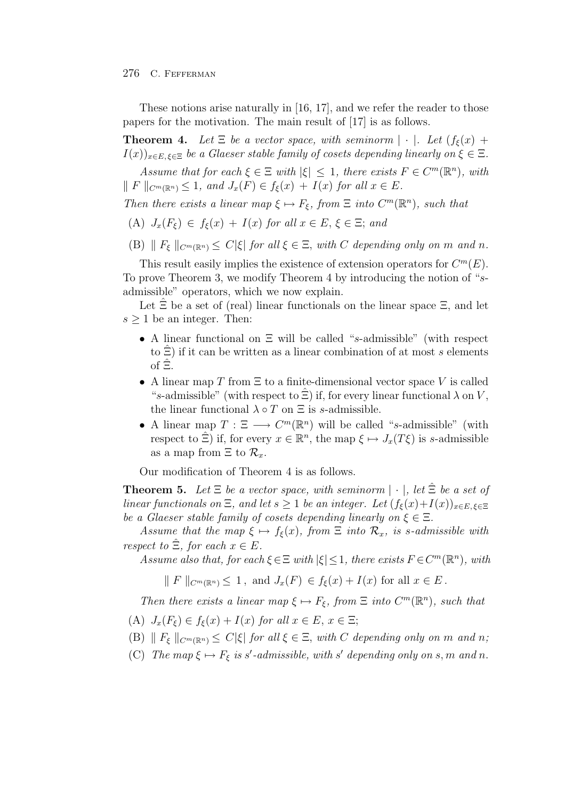### 276 C. FEFFERMAN

These notions arise naturally in [16, 17], and we refer the reader to those papers for the motivation. The main result of [17] is as follows.

**Theorem 4.** Let  $\Xi$  be a vector space, with seminorm  $|\cdot|$ . Let  $(f_{\xi}(x) +$  $I(x))_{x\in E, \xi\in \Xi}$  *be a Glaeser stable family of cosets depending linearly on*  $\xi \in \Xi$ *.* 

*Assume that for each*  $\xi \in \Xi$  *with*  $|\xi| \leq 1$ *, there exists*  $F \in C^m(\mathbb{R}^n)$ *, with*  $\parallel F \parallel_{C^m(\mathbb{R}^n)} \leq 1$ , and  $J_x(F) \in f_{\xi}(x) + I(x)$  for all  $x \in E$ .

*Then there exists a linear map*  $\xi \mapsto F_{\xi}$ *, from*  $\Xi$  *into*  $C^m(\mathbb{R}^n)$ *, such that* 

- (A)  $J_x(F_\xi) \in f_\xi(x) + I(x)$  for all  $x \in E, \xi \in \Xi$ ; and
- (B)  $\|F_{\xi}\|_{C^{m}(\mathbb{R}^n)} \leq C|\xi|$  *for all*  $\xi \in \Xi$ , *with* C *depending only on* m *and* n.

This result easily implies the existence of extension operators for  $C^m(E)$ . To prove Theorem 3, we modify Theorem 4 by introducing the notion of "sadmissible" operators, which we now explain.

Let  $\hat{\Xi}$  be a set of (real) linear functionals on the linear space  $\Xi$ , and let  $s \geq 1$  be an integer. Then:

- A linear functional on Ξ will be called "s-admissible" (with respect to  $\Xi$ ) if it can be written as a linear combination of at most s elements of  $\hat{\Xi}$ .
- A linear map T from  $\Xi$  to a finite-dimensional vector space V is called "s-admissible" (with respect to  $\hat{\Xi}$ ) if, for every linear functional  $\lambda$  on V, the linear functional  $\lambda \circ T$  on  $\Xi$  is s-admissible.
- A linear map  $T : \Xi \longrightarrow C^m(\mathbb{R}^n)$  will be called "s-admissible" (with respect to  $\Xi$ ) if, for every  $x \in \mathbb{R}^n$ , the map  $\xi \mapsto J_x(T\xi)$  is s-admissible as a map from  $\Xi$  to  $\mathcal{R}_x$ .

Our modification of Theorem 4 is as follows.

**Theorem 5.** Let  $\Xi$  be a vector space, with seminorm  $|\cdot|$ , let  $\hat{\Xi}$  be a set of *linear functionals on*  $\Xi$ *, and let*  $s \geq 1$  *be an integer. Let*  $(f_{\xi}(x) + I(x))_{x \in E, \xi \in \Xi}$ *be a Glaeser stable family of cosets depending linearly on*  $\xi \in \Xi$ .

*Assume that the map*  $\xi \mapsto f_{\xi}(x)$ *, from*  $\Xi$  *into*  $\mathcal{R}_x$ *, is s-admissible with respect to*  $\Xi$ *, for each*  $x \in E$ *.* 

*Assume also that, for each*  $\xi \in \Xi$  *with*  $|\xi| \leq 1$ *, there exists*  $F \in C^m(\mathbb{R}^n)$ *, with* 

 $\Vert F \Vert_{C^m(\mathbb{R}^n)} \leq 1$ , and  $J_x(F) \in f_{\varepsilon}(x) + I(x)$  for all  $x \in E$ .

*Then there exists a linear map*  $\xi \mapsto F_{\xi}$ , from  $\Xi$  *into*  $C^{m}(\mathbb{R}^{n})$ *, such that* 

- (A)  $J_x(F_\xi) \in f_\xi(x) + I(x)$  *for all*  $x \in E$ ,  $x \in \Xi$ ;
- (B)  $\| F_{\xi} \|_{C^m(\mathbb{R}^n)} \leq C |\xi|$  *for all*  $\xi \in \Xi$ *, with C depending only on m and n;*
- (C) *The map*  $\xi \mapsto F_{\xi}$  *is s'*-admissible, with s' depending only on s, m and n.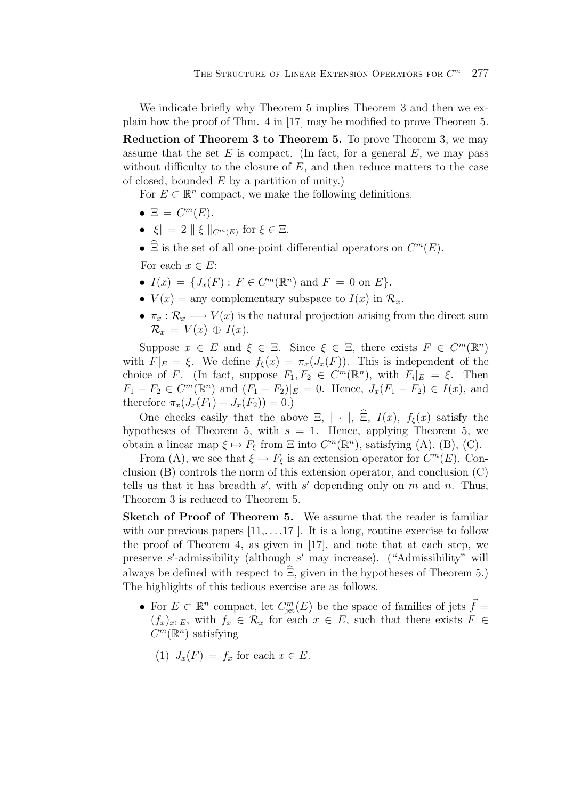We indicate briefly why Theorem 5 implies Theorem 3 and then we explain how the proof of Thm. 4 in [17] may be modified to prove Theorem 5.

**Reduction of Theorem 3 to Theorem 5.** To prove Theorem 3, we may assume that the set  $E$  is compact. (In fact, for a general  $E$ , we may pass without difficulty to the closure of  $E$ , and then reduce matters to the case of closed, bounded  $E$  by a partition of unity.)

For  $E \subset \mathbb{R}^n$  compact, we make the following definitions.

- $\Xi = C^m(E)$ .
- $|\xi| = 2 \|\xi\|_{C^m(E)}$  for  $\xi \in \Xi$ .
- $\widehat{\Xi}$  is the set of all one-point differential operators on  $C^m(E)$ .

For each  $x \in E$ :

- $I(x) = \{J_x(F) : F \in C^m(\mathbb{R}^n) \text{ and } F = 0 \text{ on } E\}.$
- $V(x) =$  any complementary subspace to  $I(x)$  in  $\mathcal{R}_x$ .
- $\pi_x : \mathcal{R}_x \longrightarrow V(x)$  is the natural projection arising from the direct sum  $\mathcal{R}_x = V(x) \oplus I(x)$ .

Suppose  $x \in E$  and  $\xi \in \Xi$ . Since  $\xi \in \Xi$ , there exists  $F \in C^m(\mathbb{R}^n)$ with  $F|_E = \xi$ . We define  $f_{\xi}(x) = \pi_x(J_x(F))$ . This is independent of the choice of F. (In fact, suppose  $F_1, F_2 \in C^m(\mathbb{R}^n)$ , with  $F_i|_E = \xi$ . Then  $F_1 - F_2 \in C^m(\mathbb{R}^n)$  and  $(F_1 - F_2)|_E = 0$ . Hence,  $J_x(F_1 - F_2) \in I(x)$ , and therefore  $\pi_x(J_x(F_1) - J_x(F_2)) = 0.$ 

One checks easily that the above  $\Xi$ ,  $|\cdot|$ ,  $\widehat{\Xi}$ ,  $I(x)$ ,  $f_{\xi}(x)$  satisfy the hypotheses of Theorem 5, with  $s = 1$ . Hence, applying Theorem 5, we obtain a linear map  $\xi \mapsto F_{\xi}$  from  $\Xi$  into  $C^m(\mathbb{R}^n)$ , satisfying (A), (B), (C).

From (A), we see that  $\xi \mapsto F_{\xi}$  is an extension operator for  $C^m(E)$ . Conclusion (B) controls the norm of this extension operator, and conclusion (C) tells us that it has breadth  $s'$ , with  $s'$  depending only on m and n. Thus,<br>Theorem 3 is reduced to Theorem 5 Theorem 3 is reduced to Theorem 5.

**Sketch of Proof of Theorem 5.** We assume that the reader is familiar with our previous papers  $[11, \ldots, 17]$ . It is a long, routine exercise to follow the proof of Theorem 4, as given in [17], and note that at each step, we preserve s'-admissibility (although s' may increase). ("Admissibility" will<br>elways be defined with respect to  $\hat{\Xi}$  given in the hypotheses of Theorem 5) always be defined with respect to  $\Xi$ , given in the hypotheses of Theorem 5.) The highlights of this tedious exercise are as follows.

- For  $E \subset \mathbb{R}^n$  compact, let  $C_{\text{jet}}^m(E)$  be the space of families of jets  $\vec{f} = (f \cap \mathbb{R}^n)$  with  $f \in \mathcal{R}$  for each  $x \in E$  such that there exists  $F \in$  $(f_x)_{x\in E}$ , with  $f_x \in \mathcal{R}_x$  for each  $x \in E$ , such that there exists  $F \in$  $C^m(\mathbb{R}^n)$  satisfying
	- (1)  $J_x(F) = f_x$  for each  $x \in E$ .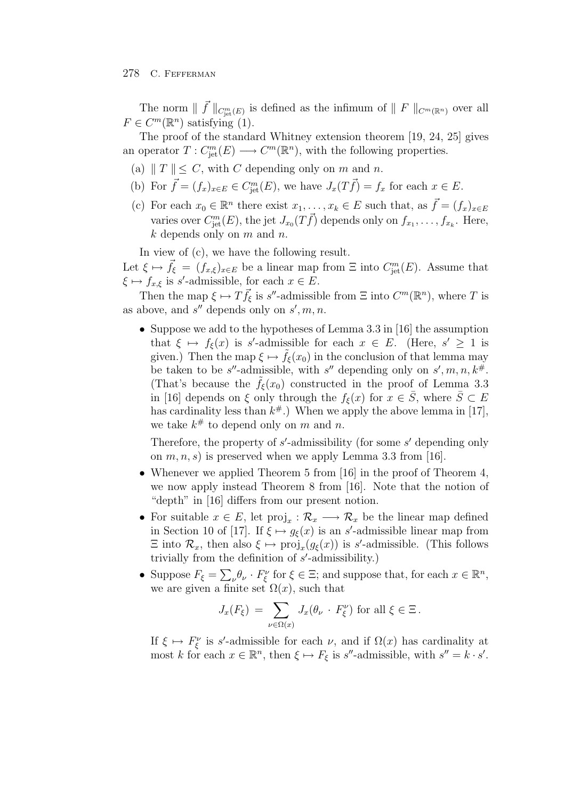#### 278 C. FEFFERMAN

The norm  $|| f ||_{C^m_{\text{jet}}(E)}$  is defined as the infimum of  $|| F ||_{C^m(\mathbb{R}^n)}$  over all  $C^m(\mathbb{R}^n)$  outisfying (1)  $F \in C^m(\mathbb{R}^n)$  satisfying (1).

The proof of the standard Whitney extension theorem [19, 24, 25] gives an operator  $T: C^m_{\text{jet}}(E) \longrightarrow C^m(\mathbb{R}^n)$ , with the following properties.

- (a)  $\|T\| \leq C$ , with C depending only on m and n.
- (b) For  $f = (f_x)_{x \in E} \in C^m_{\rm jet}(E)$ , we have  $J_x(Tf) = f_x$  for each  $x \in E$ .
- (c) For each  $x_0 \in \mathbb{R}^n$  there exist  $x_1, \ldots, x_k \in E$  such that, as  $\vec{f} = (f_x)_{x \in E}$ varies over  $C_{\rm jet}^m(E)$ , the jet  $J_{x_0}(T\bar{f})$  depends only on  $f_{x_1}, \ldots, f_{x_k}$ . Here,<br>k dopends only on m and n  $k$  depends only on  $m$  and  $n$ .

In view of (c), we have the following result.

Let  $\xi \mapsto \vec{f}_{\xi} = (f_{x,\xi})_{x \in E}$  be a linear map from  $\Xi$  into  $C_{\rm jet}^m(E)$ . Assume that  $\xi \mapsto f_{x,\xi}$  is s'-admissible, for each  $x \in E$ .<br>Then the map  $\xi \mapsto T\vec{f}$  is s' admissible.

Then the map  $\xi \mapsto T \vec{f}_{\xi}$  is s''-admissible from  $\Xi$  into  $C^m(\mathbb{R}^n)$ , where T is as above, and  $s''$  depends only on  $s', m, n$ .

• Suppose we add to the hypotheses of Lemma 3.3 in [16] the assumption that  $\xi \mapsto f_{\xi}(x)$  is s'-admissible for each  $x \in E$ . (Here,  $s' \ge 1$  is given) Then the map  $\xi \mapsto \tilde{f}_t(x_0)$  in the conclusion of that lemma may given.) Then the map  $\xi \mapsto \hat{f}_{\xi}(x_0)$  in the conclusion of that lemma may be taken to be s''-admissible, with s'' depending only on s', m, n,  $k^{\#}$ .<br>(That's because the  $\tilde{f}_1(x_0)$  constructed in the proof of Lemma 3.3 (That's because the  $f_{\xi}(x_0)$  constructed in the proof of Lemma 3.3 in [16] depends on  $\xi$  only through the  $f_{\xi}(x)$  for  $x \in \overline{S}$ , where  $\overline{S} \subset E$ has cardinality less than  $k^*$ .) When we apply the above lemma in [17], we take  $k^{\#}$  to depend only on m and n.

Therefore, the property of s'-admissibility (for some s' depending only<br>on  $m, n, s$ ) is prosecuted when we apply Lemma 3.3 from [16] on  $m, n, s$  is preserved when we apply Lemma 3.3 from [16].

- Whenever we applied Theorem 5 from [16] in the proof of Theorem 4, we now apply instead Theorem 8 from [16]. Note that the notion of "depth" in [16] differs from our present notion.
- For suitable  $x \in E$ , let  $\text{proj}_x : \mathcal{R}_x \longrightarrow \mathcal{R}_x$  be the linear map defined in Section 10 of [17]. If  $\xi \mapsto g_{\xi}(x)$  is an s'-admissible linear map from<br> $\Xi$  into  $\mathcal{R}$  then also  $\xi \mapsto \text{proj}(g_{\xi}(x))$  is s' admissible. (This follows  $\Xi$  into  $\mathcal{R}_x$ , then also  $\xi \mapsto \text{proj}_x(g_{\xi}(x))$  is s'-admissible. (This follows trivially from the definition of s'-admissibility) trivially from the definition of  $s'$ -admissibility.)
- Suppose  $F_{\xi} = \sum_{\nu} \theta_{\nu} \cdot F_{\xi}^{\nu}$  for  $\xi \in \Xi$ ; and suppose that, for each  $x \in \mathbb{R}^{n}$ , we are given a finite set  $O(x)$  such that we are given a finite set  $\Omega(x)$ , such that

$$
J_x(F_{\xi}) = \sum_{\nu \in \Omega(x)} J_x(\theta_{\nu} \cdot F_{\xi}^{\nu}) \text{ for all } \xi \in \Xi.
$$

If  $\xi \mapsto F_{\xi}^{\nu}$  is s'-admissible for each  $\nu$ , and if  $\Omega(x)$  has cardinality at most k for each  $x \in \mathbb{R}^n$  then  $\xi \mapsto F_{\xi}$  is s''-admissible with  $s'' = k \cdot s'$ . most k for each  $x \in \mathbb{R}^n$ , then  $\xi \mapsto F_{\xi}$  is s''-admissible, with  $s'' = k \cdot s'$ .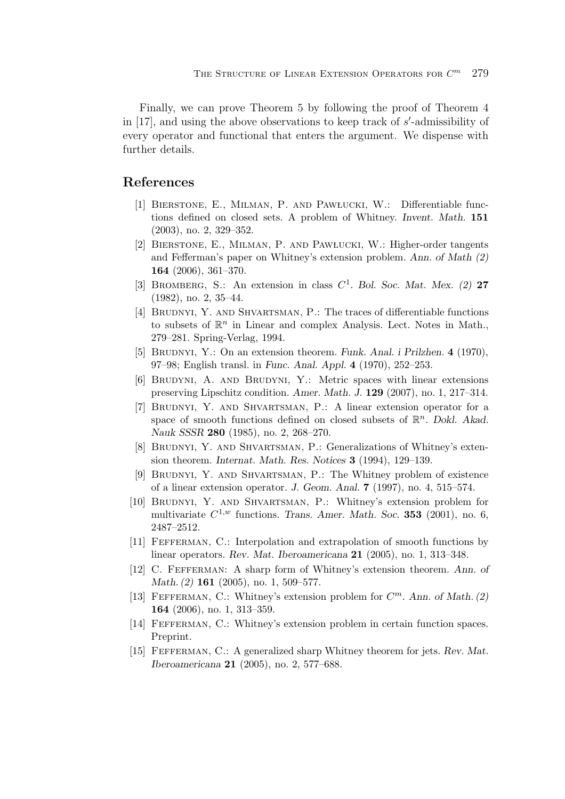Finally, we can prove Theorem 5 by following the proof of Theorem 4 in [17], and using the above observations to keep track of  $s'$ -admissibility of every operator and functional that enters the argument. We dispense with every operator and functional that enters the argument. We dispense with further details.

## **References**

- [1] Bierstone, E., Milman, P. and Pawlucki, W.: Differentiable functions defined on closed sets. A problem of Whitney. *Invent. Math.* **151** (2003), no. 2, 329–352.
- [2] Bierstone, E., Milman, P. and Pawlucki, W.: Higher-order tangents and Fefferman's paper on Whitney's extension problem. *Ann. of Math (2)* **164** (2006), 361–370.
- [3] Bromberg, S.: An extension in class *C*1. *Bol. Soc. Mat. Mex. (2)* **27** (1982), no. 2, 35–44.
- [4] BRUDNYI, Y. AND SHVARTSMAN, P.: The traces of differentiable functions to subsets of  $\mathbb{R}^n$  in Linear and complex Analysis. Lect. Notes in Math., 279–281. Spring-Verlag, 1994.
- [5] BRUDNYI, Y.: On an extension theorem. *Funk. Anal. i Prilzhen.* **4** (1970), 97–98; English transl. in *Func. Anal. Appl.* **4** (1970), 252–253.
- [6] Brudyni, A. and Brudyni, Y.: Metric spaces with linear extensions preserving Lipschitz condition. *Amer. Math. J.* **129** (2007), no. 1, 217–314.
- [7] Brudnyi, Y. and Shvartsman, P.: A linear extension operator for a space of smooth functions defined on closed subsets of  $\mathbb{R}^n$ . *Dokl. Akad. Nauk SSSR* **280** (1985), no. 2, 268–270.
- [8] Brudnyi, Y. and Shvartsman, P.: Generalizations of Whitney's extension theorem. *Internat. Math. Res. Notices* **3** (1994), 129–139.
- [9] Brudnyi, Y. and Shvartsman, P.: The Whitney problem of existence of a linear extension operator. *J. Geom. Anal.* **7** (1997), no. 4, 515–574.
- [10] Brudnyi, Y. and Shvartsman, P.: Whitney's extension problem for multivariate  $C^{1,w}$  functions. *Trans. Amer. Math. Soc.* **353** (2001), no. 6, 2487–2512.
- [11] Fefferman, C.: Interpolation and extrapolation of smooth functions by linear operators. *Rev. Mat. Iberoamericana* **21** (2005), no. 1, 313–348.
- [12] C. Fefferman: A sharp form of Whitney's extension theorem. *Ann. of Math. (2)* **161** (2005), no. 1, 509–577.
- [13] Fefferman, C.: Whitney's extension problem for *C*m. *Ann. of Math. (2)* **164** (2006), no. 1, 313–359.
- [14] Fefferman, C.: Whitney's extension problem in certain function spaces. Preprint.
- [15] Fefferman, C.: A generalized sharp Whitney theorem for jets. *Rev. Mat. Iberoamericana* **21** (2005), no. 2, 577–688.